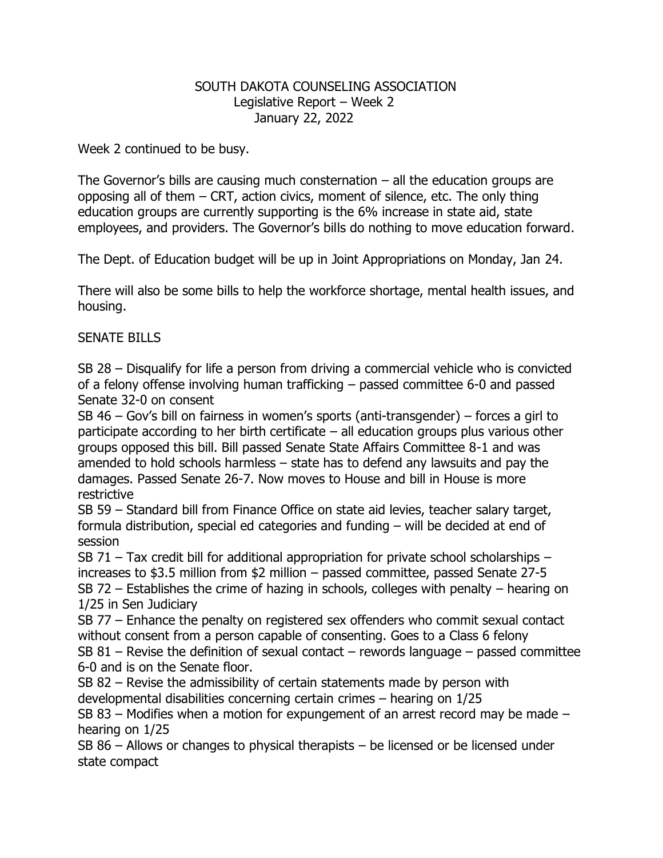## SOUTH DAKOTA COUNSELING ASSOCIATION Legislative Report – Week 2 January 22, 2022

Week 2 continued to be busy.

The Governor's bills are causing much consternation  $-$  all the education groups are opposing all of them – CRT, action civics, moment of silence, etc. The only thing education groups are currently supporting is the 6% increase in state aid, state employees, and providers. The Governor's bills do nothing to move education forward.

The Dept. of Education budget will be up in Joint Appropriations on Monday, Jan 24.

There will also be some bills to help the workforce shortage, mental health issues, and housing.

## SENATE BILLS

SB 28 – Disqualify for life a person from driving a commercial vehicle who is convicted of a felony offense involving human trafficking – passed committee 6-0 and passed Senate 32-0 on consent

SB 46 – Gov's bill on fairness in women's sports (anti-transgender) – forces a girl to participate according to her birth certificate – all education groups plus various other groups opposed this bill. Bill passed Senate State Affairs Committee 8-1 and was amended to hold schools harmless – state has to defend any lawsuits and pay the damages. Passed Senate 26-7. Now moves to House and bill in House is more restrictive

SB 59 – Standard bill from Finance Office on state aid levies, teacher salary target, formula distribution, special ed categories and funding – will be decided at end of session

SB 71 – Tax credit bill for additional appropriation for private school scholarships – increases to \$3.5 million from \$2 million – passed committee, passed Senate 27-5 SB 72 – Establishes the crime of hazing in schools, colleges with penalty – hearing on 1/25 in Sen Judiciary

SB 77 – Enhance the penalty on registered sex offenders who commit sexual contact without consent from a person capable of consenting. Goes to a Class 6 felony

SB 81 – Revise the definition of sexual contact – rewords language – passed committee 6-0 and is on the Senate floor.

SB 82 – Revise the admissibility of certain statements made by person with developmental disabilities concerning certain crimes – hearing on 1/25

SB 83 – Modifies when a motion for expungement of an arrest record may be made – hearing on 1/25

SB 86 – Allows or changes to physical therapists – be licensed or be licensed under state compact